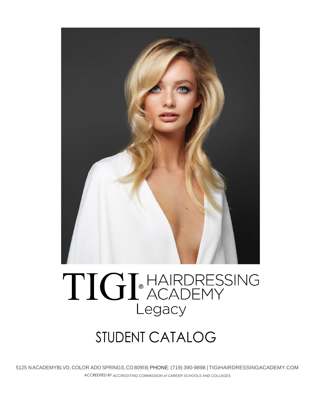

# TIGI®HAIRDRESSING Legacy

## STUDENT CATALOG

5125 NACADEMYBLVD, COLOR ADO SPRINGS,CO 809l8| PHONE: (719) 390-9898 | TIGIHAIRDRESSINGACADEMY.COM *ACCREDITED BY ACCREDIT/NG COMMISSION of CAREER SCHOOLS AND COLLEGES*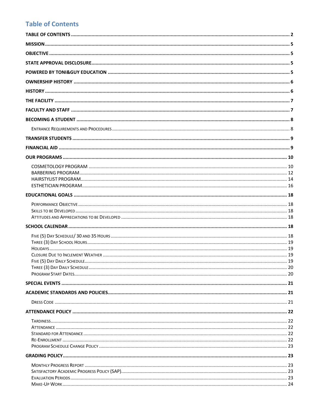## <span id="page-1-0"></span>**Table of Contents**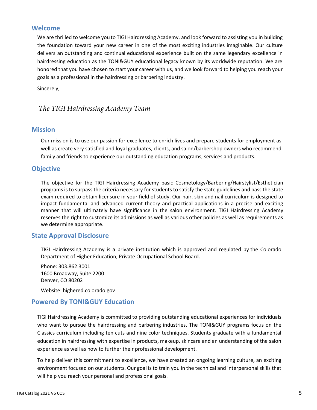## **Welcome**

We are thrilled to welcome you to TIGI Hairdressing Academy, and look forward to assisting you in building the foundation toward your new career in one of the most exciting industries imaginable. Our culture delivers an outstanding and continual educational experience built on the same legendary excellence in hairdressing education as the TONI&GUY educational legacy known by its worldwide reputation. We are honored that you have chosen to start your career with us, and we look forward to helping you reach your goals as a professional in the hairdressing or barbering industry.

Sincerely,

## *The TIGI Hairdressing Academy Team*

## <span id="page-4-0"></span>**Mission**

Our mission is to use our passion for excellence to enrich lives and prepare students for employment as well as create very satisfied and loyal graduates, clients, and salon/barbershop owners who recommend family and friends to experience our outstanding education programs, services and products.

## <span id="page-4-1"></span>**Objective**

The objective for the TIGI Hairdressing Academy basic Cosmetology/Barbering/Hairstylist/Esthetician programs is to surpass the criteria necessary for students to satisfy the state guidelines and pass the state exam required to obtain licensure in your field of study. Our hair, skin and nail curriculum is designed to impact fundamental and advanced current theory and practical applications in a precise and exciting manner that will ultimately have significance in the salon environment. TIGI Hairdressing Academy reserves the right to customize its admissions as well as various other policies as well as requirements as we determine appropriate.

## <span id="page-4-2"></span>**State Approval Disclosure**

TIGI Hairdressing Academy is a private institution which is approved and regulated by the Colorado Department of Higher Education, Private Occupational School Board.

Phone: 303.862.3001 1600 Broadway, Suite 2200 Denver, CO 80202

Website: highered.colorado.gov

## <span id="page-4-3"></span>**Powered By TONI&GUY Education**

TIGI Hairdressing Academy is committed to providing outstanding educational experiences for individuals who want to pursue the hairdressing and barbering industries. The TONI&GUY programs focus on the Classics curriculum including ten cuts and nine color techniques. Students graduate with a fundamental education in hairdressing with expertise in products, makeup, skincare and an understanding of the salon experience as well as how to further their professional development.

To help deliver this commitment to excellence, we have created an ongoing learning culture, an exciting environment focused on our students. Our goal is to train you in the technical and interpersonal skills that will help you reach your personal and professional goals.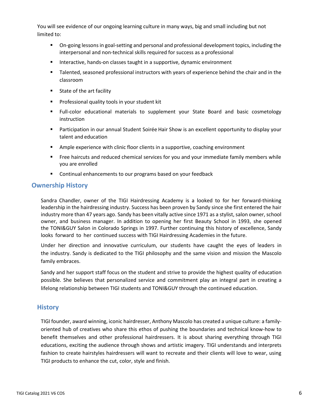You will see evidence of our ongoing learning culture in many ways, big and small including but not limited to:

- On-going lessons in goal-setting and personal and professional development topics, including the interpersonal and non-technical skills required for success as a professional
- Interactive, hands-on classes taught in a supportive, dynamic environment
- Talented, seasoned professional instructors with years of experience behind the chair and in the classroom
- State of the art facility
- Professional quality tools in your student kit
- Full-color educational materials to supplement your State Board and basic cosmetology instruction
- Participation in our annual Student Soirée Hair Show is an excellent opportunity to display your talent and education
- Ample experience with clinic floor clients in a supportive, coaching environment
- Free haircuts and reduced chemical services for you and your immediate family members while you are enrolled
- Continual enhancements to our programs based on your feedback

## <span id="page-5-0"></span>**Ownership History**

Sandra Chandler, owner of the TIGI Hairdressing Academy is a looked to for her forward-thinking leadership in the hairdressing industry. Success has been proven by Sandy since she first entered the hair industry more than 47 years ago. Sandy has been vitally active since 1971 as a stylist, salon owner, school owner, and business manager. In addition to opening her first Beauty School in 1993, she opened the TONI&GUY Salon in Colorado Springs in 1997. Further continuing this history of excellence, Sandy looks forward to her continued success with TIGI Hairdressing Academies in the future.

Under her direction and innovative curriculum, our students have caught the eyes of leaders in the industry. Sandy is dedicated to the TIGI philosophy and the same vision and mission the Mascolo family embraces.

Sandy and her support staff focus on the student and strive to provide the highest quality of education possible. She believes that personalized service and commitment play an integral part in creating a lifelong relationship between TIGI students and TONI&GUY through the continued education.

## <span id="page-5-1"></span>**History**

TIGI founder, award winning, iconic hairdresser, Anthony Mascolo has created a unique culture: a familyoriented hub of creatives who share this ethos of pushing the boundaries and technical know-how to benefit themselves and other professional hairdressers. It is about sharing everything through TIGI educations, exciting the audience through shows and artistic imagery. TIGI understands and interprets fashion to create hairstyles hairdressers will want to recreate and their clients will love to wear, using TIGI products to enhance the cut, color, style and finish.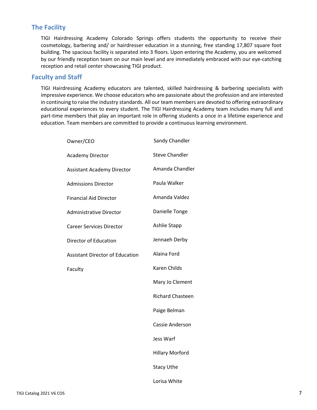## <span id="page-6-0"></span>**The Facility**

TIGI Hairdressing Academy Colorado Springs offers students the opportunity to receive their cosmetology, barbering and/ or hairdresser education in a stunning, free standing 17,807 square foot building. The spacious facility is separated into 3 floors. Upon entering the Academy, you are welcomed by our friendly reception team on our main level and are immediately embraced with our eye-catching reception and retail center showcasing TIGI product.

## <span id="page-6-1"></span>**Faculty and Staff**

TIGI Hairdressing Academy educators are talented, skilled hairdressing & barbering specialists with impressive experience. We choose educators who are passionate about the profession and are interested in continuing to raise the industry standards. All our team members are devoted to offering extraordinary educational experiences to every student. The TIGI Hairdressing Academy team includes many full and part-time members that play an important role in offering students a once in a lifetime experience and education. Team members are committed to provide a continuous learning environment.

| Owner/CEO                              | Sandy Chandler          |
|----------------------------------------|-------------------------|
| <b>Academy Director</b>                | <b>Steve Chandler</b>   |
| <b>Assistant Academy Director</b>      | Amanda Chandler         |
| <b>Admissions Director</b>             | Paula Walker            |
| <b>Financial Aid Director</b>          | Amanda Valdez           |
| <b>Administrative Director</b>         | Danielle Tonge          |
| <b>Career Services Director</b>        | Ashlie Stapp            |
| Director of Education                  | Jennaeh Derby           |
| <b>Assistant Director of Education</b> | Alaina Ford             |
| Faculty                                | <b>Karen Childs</b>     |
|                                        | Mary Jo Clement         |
|                                        | <b>Richard Chasteen</b> |
|                                        | Paige Belman            |
|                                        | <b>Cassie Anderson</b>  |
|                                        | Jess Warf               |
|                                        | <b>Hillary Morford</b>  |
|                                        | <b>Stacy Uthe</b>       |
|                                        | Lorisa White            |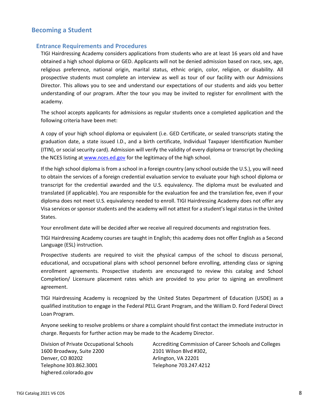## <span id="page-7-1"></span><span id="page-7-0"></span>**Becoming a Student**

#### **Entrance Requirements and Procedures**

TIGI Hairdressing Academy considers applications from students who are at least 16 years old and have obtained a high school diploma or GED. Applicants will not be denied admission based on race, sex, age, religious preference, national origin, marital status, ethnic origin, color, religion, or disability. All prospective students must complete an interview as well as tour of our facility with our Admissions Director. This allows you to see and understand our expectations of our students and aids you better understanding of our program. After the tour you may be invited to register for enrollment with the academy.

The school accepts applicants for admissions as regular students once a completed application and the following criteria have been met:

A copy of your high school diploma or equivalent (i.e. GED Certificate, or sealed transcripts stating the graduation date, a state issued I.D., and a birth certificate, Individual Taxpayer Identification Number (ITIN), or social security card). Admission will verify the validity of every diploma or transcript by checking the NCES listing at [www.nces.ed.gov](http://www.nces.ed.gov) for the legitimacy of the high school.

If the high school diploma is from a school in a foreign country (any school outside the U.S.), you will need to obtain the services of a foreign credential evaluation service to evaluate your high school diploma or transcript for the credential awarded and the U.S. equivalency. The diploma must be evaluated and translated (if applicable). You are responsible for the evaluation fee and the translation fee, even if your diploma does not meet U.S. equivalency needed to enroll. TIGI Hairdressing Academy does not offer any Visa services or sponsor students and the academy will not attest for a student's legal status in the United States.

Your enrollment date will be decided after we receive all required documents and registration fees.

TIGI Hairdressing Academy courses are taught in English; this academy does not offer English as a Second Language (ESL) instruction.

Prospective students are required to visit the physical campus of the school to discuss personal, educational, and occupational plans with school personnel before enrolling, attending class or signing enrollment agreements. Prospective students are encouraged to review this catalog and School Completion/ Licensure placement rates which are provided to you prior to signing an enrollment agreement.

TIGI Hairdressing Academy is recognized by the United States Department of Education (USDE) as a qualified institution to engage in the Federal PELL Grant Program, and the William D. Ford Federal Direct Loan Program.

Anyone seeking to resolve problems or share a complaint should first contact the immediate instructor in charge. Requests for further action may be made to the Academy Director.

| Division of Private Occupational Schools | Accrediting Commission of Career Schools and Colleges |
|------------------------------------------|-------------------------------------------------------|
| 1600 Broadway, Suite 2200                | 2101 Wilson Blvd #302,                                |
| Denver, CO 80202                         | Arlington, VA 22201                                   |
| Telephone 303.862.3001                   | Telephone 703.247.4212                                |
| highered.colorado.gov                    |                                                       |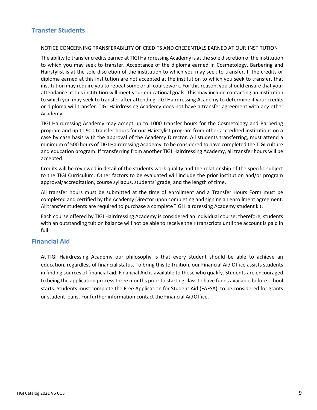## <span id="page-8-0"></span>**Transfer Students**

#### NOTICE CONCERNING TRANSFERABILITY OF CREDITS AND CREDENTIALS EARNED AT OUR INSTITUTION

The ability to transfer credits earned at TIGI Hairdressing Academy is at the sole discretion ofthe institution to which you may seek to transfer. Acceptance of the diploma earned in Cosmetology, Barbering and Hairstylist is at the sole discretion of the institution to which you may seek to transfer. If the credits or diploma earned at this institution are not accepted at the institution to which you seek to transfer, that institution may require you to repeat some or all coursework. For this reason, you should ensure that your attendance at this institution will meet your educational goals. This may include contacting an institution to which you may seek to transfer after attending TIGI Hairdressing Academy to determine if your credits or diploma will transfer. TIGI Hairdressing Academy does not have a transfer agreement with any other Academy.

TIGI Hairdressing Academy may accept up to 1000 transfer hours for the Cosmetology and Barbering program and up to 900 transfer hours for our Hairstylist program from other accredited institutions on a case by case basis with the approval of the Academy Director. All students transferring, must attend a minimum of 500 hours of TIGI Hairdressing Academy, to be considered to have completed the TIGI culture and education program. If transferring from another TIGI Hairdressing Academy, all transfer hours will be accepted.

Credits will be reviewed in detail of the students work quality and the relationship of the specific subject to the TIGI Curriculum. Other factors to be evaluated will include the prior institution and/or program approval/accreditation, course syllabus, students' grade, and the length of time.

All transfer hours must be submitted at the time of enrollment and a Transfer Hours Form must be completed and certified by the Academy Director upon completing and signing an enrollment agreement. All transfer students are required to purchase a complete TIGI Hairdressing Academy student kit.

Each course offered by TIGI Hairdressing Academy is considered an individual course; therefore, students with an outstanding tuition balance will not be able to receive their transcripts until the account is paid in full.

## <span id="page-8-1"></span>**Financial Aid**

At TIGI Hairdressing Academy our philosophy is that every student should be able to achieve an education, regardless of financial status. To bring this to fruition, our Financial Aid Office assists students in finding sources of financial aid. Financial Aid is available to those who qualify. Students are encouraged to being the application process three months prior to starting class to have funds available before school starts. Students must complete the Free Application for Student Aid (FAFSA), to be considered for grants or student loans. For further information contact the Financial AidOffice.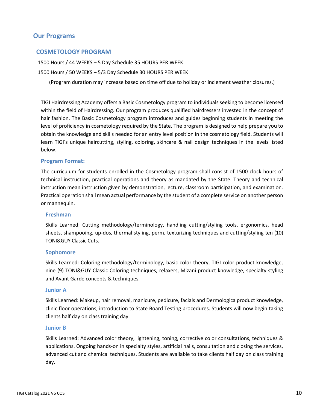## <span id="page-9-0"></span>**Our Programs**

## <span id="page-9-1"></span>**COSMETOLOGY PROGRAM**

1500 Hours / 44 WEEKS – 5 Day Schedule 35 HOURS PER WEEK

1500 Hours / 50 WEEKS – 5/3 Day Schedule 30 HOURS PER WEEK

(Program duration may increase based on time off due to holiday or inclement weather closures.)

TIGI Hairdressing Academy offers a Basic Cosmetology program to individuals seeking to become licensed within the field of Hairdressing. Our program produces qualified hairdressers invested in the concept of hair fashion. The Basic Cosmetology program introduces and guides beginning students in meeting the level of proficiency in cosmetology required by the State. The program is designed to help prepare you to obtain the knowledge and skills needed for an entry level position in the cosmetology field. Students will learn TIGI's unique haircutting, styling, coloring, skincare & nail design techniques in the levels listed below.

#### **Program Format:**

The curriculum for students enrolled in the Cosmetology program shall consist of 1500 clock hours of technical instruction, practical operations and theory as mandated by the State. Theory and technical instruction mean instruction given by demonstration, lecture, classroom participation, and examination. Practical operation shall mean actual performance by the student of a complete service on another person or mannequin.

#### **Freshman**

Skills Learned: Cutting methodology/terminology, handling cutting/styling tools, ergonomics, head sheets, shampooing, up-dos, thermal styling, perm, texturizing techniques and cutting/styling ten (10) TONI&GUY Classic Cuts.

#### **Sophomore**

Skills Learned: Coloring methodology/terminology, basic color theory, TIGI color product knowledge, nine (9) TONI&GUY Classic Coloring techniques, relaxers, Mizani product knowledge, specialty styling and Avant Garde concepts & techniques.

#### **Junior A**

Skills Learned: Makeup, hair removal, manicure, pedicure, facials and Dermologica product knowledge, clinic floor operations, introduction to State Board Testing procedures. Students will now begin taking clients half day on class training day.

#### **Junior B**

Skills Learned: Advanced color theory, lightening, toning, corrective color consultations, techniques & applications. Ongoing hands-on in specialty styles, artificial nails, consultation and closing the services, advanced cut and chemical techniques. Students are available to take clients half day on class training day.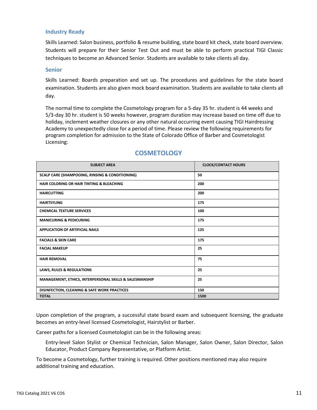#### **Industry Ready**

Skills Learned: Salon business, portfolio & resume building, state board kit check, state board overview. Students will prepare for their Senior Test Out and must be able to perform practical TIGI Classic techniques to become an Advanced Senior. Students are available to take clients all day.

#### **Senior**

Skills Learned: Boards preparation and set up. The procedures and guidelines for the state board examination. Students are also given mock board examination. Students are available to take clients all day.

The normal time to complete the Cosmetology program for a 5-day 35 hr. student is 44 weeks and 5/3-day 30 hr. student is 50 weeks however, program duration may increase based on time off due to holiday, inclement weather closures or any other natural occurring event causing TIGI Hairdressing Academy to unexpectedly close for a period of time. Please review the following requirements for program completion for admission to the State of Colorado Office of Barber and Cosmetologist Licensing:

| <b>SUBJECT AREA</b>                                        | <b>CLOCK/CONTACT HOURS</b> |
|------------------------------------------------------------|----------------------------|
| <b>SCALP CARE (SHAMPOOING, RINSING &amp; CONDITIONING)</b> | 50                         |
| <b>HAIR COLORING OR HAIR TINTING &amp; BLEACHING</b>       | 200                        |
| <b>HAIRCUTTING</b>                                         | 200                        |
| <b>HAIRTSYLING</b>                                         | 175                        |
| <b>CHEMICAL TEXTURE SERVICES</b>                           | 100                        |
| <b>MANICURING &amp; PEDICURING</b>                         | 175                        |
| <b>APPLICATION OF ARTIFICIAL NAILS</b>                     | 125                        |
| <b>FACIALS &amp; SKIN CARE</b>                             | 175                        |
| <b>FACIAL MAKEUP</b>                                       | 25                         |
| <b>HAIR REMOVAL</b>                                        | 75                         |
| <b>LAWS, RULES &amp; REGULATIONS</b>                       | 25                         |
| MANAGEMENT, ETHICS, INTERPERSONAL SKILLS & SALESMANSHIP    | 25                         |
| DISINFECTION, CLEANING & SAFE WORK PRACTICES               | 150                        |
| <b>TOTAL</b>                                               | 1500                       |

## **COSMETOLOGY**

Upon completion of the program, a successful state board exam and subsequent licensing, the graduate becomes an entry-level licensed Cosmetologist, Hairstylist or Barber.

Career paths for a licensed Cosmetologist can be in the following areas:

Entry-level Salon Stylist or Chemical Technician, Salon Manager, Salon Owner, Salon Director, Salon Educator, Product Company Representative, or Platform Artist.

To become a Cosmetology, further training is required. Other positions mentioned may also require additional training and education.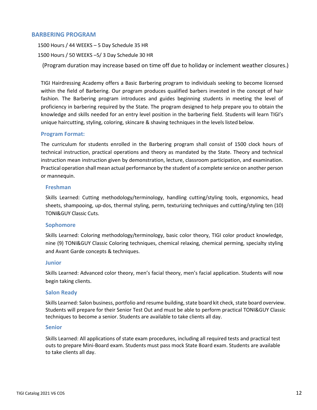## <span id="page-11-0"></span>**BARBERING PROGRAM**

1500 Hours / 44 WEEKS – 5 Day Schedule 35 HR

1500 Hours / 50 WEEKS –5/ 3 Day Schedule 30 HR

(Program duration may increase based on time off due to holiday or inclement weather closures.)

TIGI Hairdressing Academy offers a Basic Barbering program to individuals seeking to become licensed within the field of Barbering. Our program produces qualified barbers invested in the concept of hair fashion. The Barbering program introduces and guides beginning students in meeting the level of proficiency in barbering required by the State. The program designed to help prepare you to obtain the knowledge and skills needed for an entry level position in the barbering field. Students will learn TIGI's unique haircutting, styling, coloring, skincare & shaving techniques in the levels listed below.

#### **Program Format:**

The curriculum for students enrolled in the Barbering program shall consist of 1500 clock hours of technical instruction, practical operations and theory as mandated by the State. Theory and technical instruction mean instruction given by demonstration, lecture, classroom participation, and examination. Practical operation shall mean actual performance by the student of a complete service on another person or mannequin.

#### **Freshman**

Skills Learned: Cutting methodology/terminology, handling cutting/styling tools, ergonomics, head sheets, shampooing, up-dos, thermal styling, perm, texturizing techniques and cutting/styling ten (10) TONI&GUY Classic Cuts.

#### **Sophomore**

Skills Learned: Coloring methodology/terminology, basic color theory, TIGI color product knowledge, nine (9) TONI&GUY Classic Coloring techniques, chemical relaxing, chemical perming, specialty styling and Avant Garde concepts & techniques.

#### **Junior**

Skills Learned: Advanced color theory, men's facial theory, men's facial application. Students will now begin taking clients.

#### **Salon Ready**

Skills Learned: Salon business, portfolio and resume building, state board kit check, state board overview. Students will prepare for their Senior Test Out and must be able to perform practical TONI&GUY Classic techniques to become a senior. Students are available to take clients all day.

#### **Senior**

Skills Learned: All applications of state exam procedures, including all required tests and practical test outs to prepare Mini-Board exam. Students must pass mock State Board exam. Students are available to take clients all day.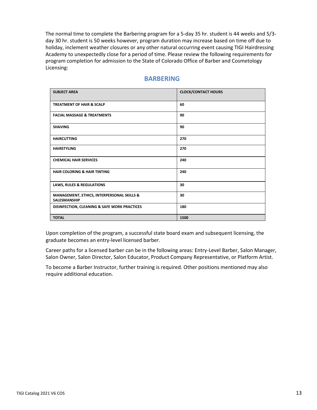The normal time to complete the Barbering program for a 5-day 35 hr. student is 44 weeks and 5/3 day 30 hr. student is 50 weeks however, program duration may increase based on time off due to holiday, inclement weather closures or any other natural occurring event causing TIGI Hairdressing Academy to unexpectedly close for a period of time. Please review the following requirements for program completion for admission to the State of Colorado Office of Barber and Cosmetology Licensing:

## **BARBERING**

| <b>SUBJECT AREA</b>                                               | <b>CLOCK/CONTACT HOURS</b> |
|-------------------------------------------------------------------|----------------------------|
| <b>TREATMENT OF HAIR &amp; SCALP</b>                              | 60                         |
| <b>FACIAL MASSAGE &amp; TREATMENTS</b>                            | 90                         |
| <b>SHAVING</b>                                                    | 90                         |
| <b>HAIRCUTTING</b>                                                | 270                        |
| <b>HAIRSTYLING</b>                                                | 270                        |
| <b>CHEMICAL HAIR SERVICES</b>                                     | 240                        |
| <b>HAIR COLORING &amp; HAIR TINTING</b>                           | 240                        |
| <b>LAWS, RULES &amp; REGULATIONS</b>                              | 30                         |
| MANAGEMENT, ETHICS, INTERPERSONAL SKILLS &<br><b>SALESMANSHIP</b> | 30                         |
| DISINFECTION, CLEANING & SAFE WORK PRACTICES                      | 180                        |
| <b>TOTAL</b>                                                      | 1500                       |

Upon completion of the program, a successful state board exam and subsequent licensing, the graduate becomes an entry-level licensed barber.

Career paths for a licensed barber can be in the following areas: Entry-Level Barber, Salon Manager, Salon Owner, Salon Director, Salon Educator, Product Company Representative, or Platform Artist.

To become a Barber Instructor, further training is required. Other positions mentioned may also require additional education.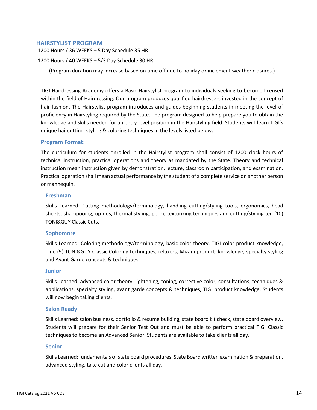#### <span id="page-13-0"></span>**HAIRSTYLIST PROGRAM**

1200 Hours / 36 WEEKS – 5 Day Schedule 35 HR

1200 Hours / 40 WEEKS – 5/3 Day Schedule 30 HR

(Program duration may increase based on time off due to holiday or inclement weather closures.)

TIGI Hairdressing Academy offers a Basic Hairstylist program to individuals seeking to become licensed within the field of Hairdressing. Our program produces qualified hairdressers invested in the concept of hair fashion. The Hairstylist program introduces and guides beginning students in meeting the level of proficiency in Hairstyling required by the State. The program designed to help prepare you to obtain the knowledge and skills needed for an entry level position in the Hairstyling field. Students will learn TIGI's unique haircutting, styling & coloring techniques in the levels listed below.

#### **Program Format:**

The curriculum for students enrolled in the Hairstylist program shall consist of 1200 clock hours of technical instruction, practical operations and theory as mandated by the State. Theory and technical instruction mean instruction given by demonstration, lecture, classroom participation, and examination. Practical operation shall mean actual performance by the student of a complete service on another person or mannequin.

#### **Freshman**

Skills Learned: Cutting methodology/terminology, handling cutting/styling tools, ergonomics, head sheets, shampooing, up-dos, thermal styling, perm, texturizing techniques and cutting/styling ten (10) TONI&GUY Classic Cuts.

#### **Sophomore**

Skills Learned: Coloring methodology/terminology, basic color theory, TIGI color product knowledge, nine (9) TONI&GUY Classic Coloring techniques, relaxers, Mizani product knowledge, specialty styling and Avant Garde concepts & techniques.

#### **Junior**

Skills Learned: advanced color theory, lightening, toning, corrective color, consultations, techniques & applications, specialty styling, avant garde concepts & techniques, TIGI product knowledge. Students will now begin taking clients.

#### **Salon Ready**

Skills Learned: salon business, portfolio & resume building, state board kit check, state board overview. Students will prepare for their Senior Test Out and must be able to perform practical TIGI Classic techniques to become an Advanced Senior. Students are available to take clients all day.

#### **Senior**

Skills Learned: fundamentals of state board procedures, State Board written examination & preparation, advanced styling, take cut and color clients all day.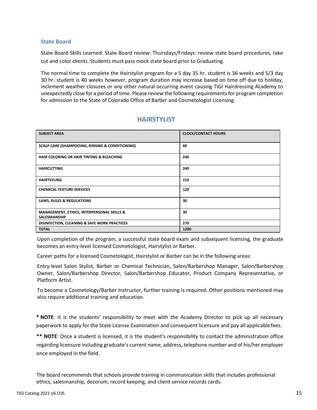#### **State Board**

State Board Skills Learned: State Board review: Thursdays/Fridays: review state board procedures, take cut and color clients. Students must pass mock state board prior to Graduating.

The normal time to complete the Hairstylist program for a 5 day 35 hr. student is 36 weeks and 5/3 day 30 hr. student is 40 weeks however, program duration may increase based on time off due to holiday, inclement weather closures or any other natural occurring event causing TIGI Hairdressing Academy to unexpectedly close for a period of time. Please review the following requirements for program completion for admission to the State of Colorado Office of Barber and Cosmetologist Licensing:

| <b>SUBJECT AREA</b>                                                          | <b>CLOCK/CONTACT HOURS</b> |
|------------------------------------------------------------------------------|----------------------------|
| <b>SCALP CARE (SHAMPOOING, RINSING &amp; CONDITIONING)</b>                   | 60                         |
| <b>HAIR COLORING OR HAIR TINTING &amp; BLEACHING</b>                         | 240                        |
| <b>HAIRCUTTING</b>                                                           | 240                        |
| <b>HAIRTSYLING</b>                                                           | 210                        |
| <b>CHEMICAL TEXTURE SERVICES</b>                                             | 120                        |
| <b>LAWS, RULES &amp; REGULATIONS</b>                                         | 30                         |
| <b>MANAGEMENT, ETHICS, INTERPERSONAL SKILLS &amp;</b><br><b>SALESMANSHIP</b> | 30                         |
| <b>DISINFECTION, CLEANING &amp; SAFE WORK PRACTICES</b>                      | 270                        |
| <b>TOTAL</b>                                                                 | 1200                       |

## **HAIRSTYLIST**

Upon completion of the program, a successful state board exam and subsequent licensing, the graduate becomes an entry-level licensed Cosmetologist, Hairstylist or Barber.

Career paths for a licensed Cosmetologist, Hairstylist or Barber can be in the following areas:

Entry-level Salon Stylist, Barber or Chemical Technician, Salon/Barbershop Manager, Salon/Barbershop Owner, Salon/Barbershop Director, Salon/Barbershop Educator, Product Company Representative, or Platform Artist.

To become a Cosmetology/Barber Instructor, further training is required. Other positions mentioned may also require additional training and education.

**\* NOTE**: It is the students' responsibility to meet with the Academy Director to pick up all necessary paperwork to apply for the State License Examination and consequent licensure and pay all applicablefees.

**\*\* NOTE**: Once a student is licensed, it is the student's responsibility to contact the administration office regarding licensure including graduate's current name, address, telephone number and of his/her employer once employed in the field.

The board recommends that schools provide training in communication skills that includes professional ethics, salesmanship, decorum, record keeping, and client service records cards.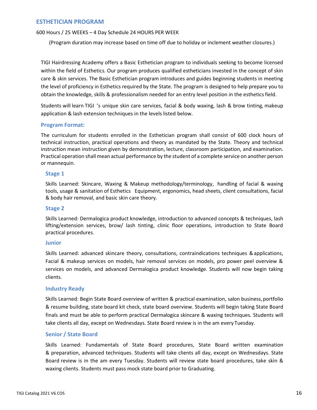<span id="page-15-0"></span>600 Hours / 25 WEEKS – 4 Day Schedule 24 HOURS PER WEEK

(Program duration may increase based on time off due to holiday or inclement weather closures.)

TIGI Hairdressing Academy offers a Basic Esthetician program to individuals seeking to become licensed within the field of Esthetics. Our program produces qualified estheticians invested in the concept of skin care & skin services. The Basic Esthetician program introduces and guides beginning students in meeting the level of proficiency in Esthetics required by the State. The program is designed to help prepare you to obtain the knowledge, skills & professionalism needed for an entry level position in the estheticsfield.

Students will learn TIGI 's unique skin care services, facial & body waxing, lash & brow tinting, makeup application & lash extension techniques in the levels listed below.

## **Program Format:**

The curriculum for students enrolled in the Esthetician program shall consist of 600 clock hours of technical instruction, practical operations and theory as mandated by the State. Theory and technical instruction mean instruction given by demonstration, lecture, classroom participation, and examination. Practical operation shall mean actual performance by the student of a complete service on another person or mannequin.

## **Stage 1**

Skills Learned: Skincare, Waxing & Makeup methodology/terminology, handling of facial & waxing tools, usage & sanitation of Esthetics Equipment, ergonomics, head sheets, client consultations, facial & body hair removal, and basic skin care theory.

#### **Stage 2**

Skills Learned: Dermalogica product knowledge, introduction to advanced concepts & techniques, lash lifting/extension services, brow/ lash tinting, clinic floor operations, introduction to State Board practical procedures.

#### **Junior**

Skills Learned: advanced skincare theory, consultations, contraindications techniques &applications, Facial & makeup services on models, hair removal services on models, pro power peel overview & services on models, and advanced Dermalogica product knowledge. Students will now begin taking clients.

#### **Industry Ready**

Skills Learned: Begin State Board overview of written & practical examination, salon business, portfolio & resume building, state board kit check, state board overview. Students will begin taking State Board finals and must be able to perform practical Dermalogica skincare & waxing techniques. Students will take clients all day, except on Wednesdays. State Board review is in the am every Tuesday.

## **Senior / State Board**

Skills Learned: Fundamentals of State Board procedures, State Board written examination & preparation, advanced techniques. Students will take clients all day, except on Wednesdays. State Board review is in the am every Tuesday. Students will review state board procedures, take skin & waxing clients. Students must pass mock state board prior to Graduating.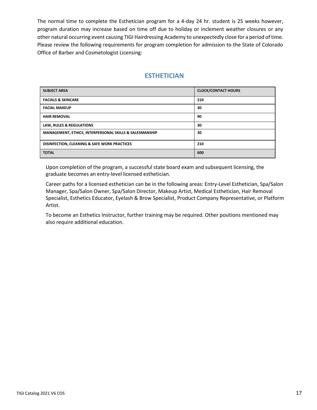The normal time to complete the Esthetician program for a 4-day 24 hr. student is 25 weeks however, program duration may increase based on time off due to holiday or inclement weather closures or any other natural occurring event causing TIGI Hairdressing Academy to unexpectedly close for a period of time. Please review the following requirements for program completion for admission to the State of Colorado Office of Barber and Cosmetologist Licensing:

## **ESTHETICIAN**

| <b>SUBJECT AREA</b>                                     | <b>CLOCK/CONTACT HOURS</b> |
|---------------------------------------------------------|----------------------------|
| <b>FACIALS &amp; SKINCARE</b>                           | 210                        |
| <b>FACIAL MAKEUP</b>                                    | 30                         |
| <b>HAIR REMOVAL</b>                                     | 90                         |
| <b>LAW, RULES &amp; REGULATIONS</b>                     | 30                         |
| MANAGEMENT, ETHICS, INTERPERSONAL SKILLS & SALESMANSHIP | 30                         |
| <b>DISINFECTION, CLEANING &amp; SAFE WORK PRACTICES</b> | 210                        |
| <b>TOTAL</b>                                            | 600                        |

Upon completion of the program, a successful state board exam and subsequent licensing, the graduate becomes an entry-level licensed esthetician.

Career paths for a licensed esthetician can be in the following areas: Entry-Level Esthetician, Spa/Salon Manager, Spa/Salon Owner, Spa/Salon Director, Makeup Artist, Medical Esthetician, Hair Removal Specialist, Esthetics Educator, Eyelash & Brow Specialist, Product Company Representative, or Platform Artist.

To become an Esthetics Instructor, further training may be required. Other positions mentioned may also require additional education.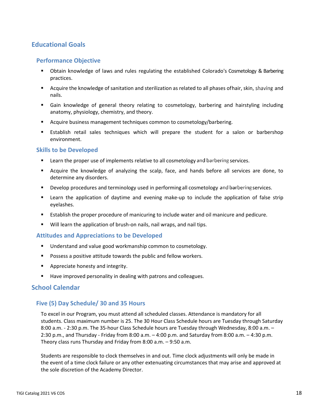## <span id="page-17-1"></span><span id="page-17-0"></span>**Educational Goals**

## **Performance Objective**

- Obtain knowledge of laws and rules regulating the established Colorado's Cosmetology & Barbering practices.
- Acquire the knowledge of sanitation and sterilization as related to all phases ofhair, skin, shaving and nails.
- Gain knowledge of general theory relating to cosmetology, barbering and hairstyling including anatomy, physiology, chemistry, and theory.
- Acquire business management techniques common to cosmetology/barbering.
- Establish retail sales techniques which will prepare the student for a salon or barbershop environment.

## <span id="page-17-2"></span>**Skills to be Developed**

- Learn the proper use of implements relative to all cosmetology and barbering services.
- Acquire the knowledge of analyzing the scalp, face, and hands before all services are done, to determine any disorders.
- Develop procedures and terminology used in performing all cosmetology and barbering services.
- Learn the application of daytime and evening make-up to include the application of false strip eyelashes.
- Establish the proper procedure of manicuring to include water and oil manicure and pedicure.
- Will learn the application of brush-on nails, nail wraps, and nail tips.

#### <span id="page-17-3"></span>**Attitudes and Appreciations to be Developed**

- Understand and value good workmanship common to cosmetology.
- Possess a positive attitude towards the public and fellow workers.
- Appreciate honesty and integrity.
- Have improved personality in dealing with patrons and colleagues.

## <span id="page-17-4"></span>**School Calendar**

## <span id="page-17-5"></span>**Five (5) Day Schedule/ 30 and 35 Hours**

To excel in our Program, you must attend all scheduled classes. Attendance is mandatory for all students. Class maximum number is 25. The 30 Hour Class Schedule hours are Tuesday through Saturday 8:00 a.m. - 2:30 p.m. The 35-hour Class Schedule hours are Tuesday through Wednesday, 8:00 a.m. – 2:30 p.m., and Thursday - Friday from 8:00 a.m. – 4:00 p.m. and Saturday from 8:00 a.m. – 4:30 p.m. Theory class runs Thursday and Friday from 8:00 a.m. – 9:50 a.m.

Students are responsible to clock themselves in and out. Time clock adjustments will only be made in the event of a time clock failure or any other extenuating circumstances that may arise and approved at the sole discretion of the Academy Director.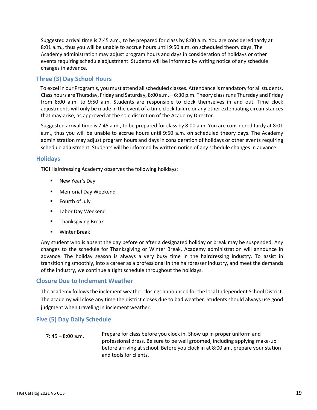Suggested arrival time is 7:45 a.m., to be prepared for class by 8:00 a.m. You are considered tardy at 8:01 a.m., thus you will be unable to accrue hours until 9:50 a.m. on scheduled theory days. The Academy administration may adjust program hours and days in consideration of holidays or other events requiring schedule adjustment. Students will be informed by writing notice of any schedule changes in advance.

## <span id="page-18-0"></span>**Three (3) Day School Hours**

To excel in our Program's, you must attend all scheduled classes. Attendance is mandatory for all students. Class hours are Thursday, Friday and Saturday, 8:00 a.m. – 6:30 p.m. Theory class runs Thursday and Friday from 8:00 a.m. to 9:50 a.m. Students are responsible to clock themselves in and out. Time clock adjustments will only be made in the event of a time clock failure or any other extenuating circumstances that may arise, as approved at the sole discretion of the Academy Director.

Suggested arrival time is 7:45 a.m., to be prepared for class by 8:00 a.m. You are considered tardy at 8:01 a.m., thus you will be unable to accrue hours until 9:50 a.m. on scheduled theory days. The Academy administration may adjust program hours and days in consideration of holidays or other events requiring schedule adjustment. Students will be informed by written notice of any schedule changes in advance.

## <span id="page-18-1"></span>**Holidays**

TIGI Hairdressing Academy observes the following holidays:

- New Year's Day
- Memorial Day Weekend
- Fourth of July
- Labor Day Weekend
- **Thanksgiving Break**
- Winter Break

Any student who is absent the day before or after a designated holiday or break may be suspended. Any changes to the schedule for Thanksgiving or Winter Break, Academy administration will announce in advance. The holiday season is always a very busy time in the hairdressing industry. To assist in transitioning smoothly, into a career as a professional in the hairdresser industry, and meet the demands of the industry, we continue a tight schedule throughout the holidays.

## <span id="page-18-2"></span>**Closure Due to Inclement Weather**

The academy follows the inclement weather closings announced for the local Independent School District. The academy will close any time the district closes due to bad weather. Students should always use good judgment when traveling in inclement weather.

## <span id="page-18-3"></span>**Five (5) Day Daily Schedule**

7: 45 – 8:00 a.m. Prepare for class before you clock in. Show up in proper uniform and professional dress. Be sure to be well groomed, including applying make-up before arriving at school. Before you clock in at 8:00 am, prepare your station and tools for clients.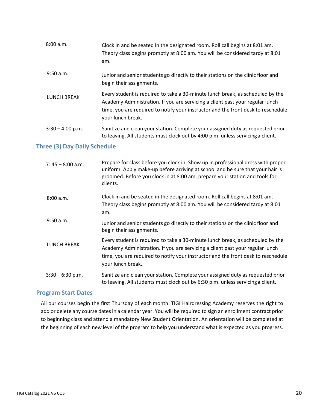| 8:00 a.m.          | Clock in and be seated in the designated room. Roll call begins at 8:01 am.<br>Theory class begins promptly at 8:00 am. You will be considered tardy at 8:01<br>am.                                                                                                       |
|--------------------|---------------------------------------------------------------------------------------------------------------------------------------------------------------------------------------------------------------------------------------------------------------------------|
| 9:50 a.m.          | Junior and senior students go directly to their stations on the clinic floor and<br>begin their assignments.                                                                                                                                                              |
| LUNCH BREAK        | Every student is required to take a 30-minute lunch break, as scheduled by the<br>Academy Administration. If you are servicing a client past your regular lunch<br>time, you are required to notify your instructor and the front desk to reschedule<br>your lunch break. |
| $3:30 - 4:00$ p.m. | Sanitize and clean your station. Complete your assigned duty as requested prior<br>to leaving. All students must clock out by 4:00 p.m. unless servicing a client.                                                                                                        |

## <span id="page-19-0"></span>**Three (3) Day Daily Schedule**

| $7:45 - 8:00$ a.m. | Prepare for class before you clock in. Show up in professional dress with proper<br>uniform. Apply make-up before arriving at school and be sure that your hair is<br>groomed. Before you clock in at 8:00 am, prepare your station and tools for<br>clients.             |
|--------------------|---------------------------------------------------------------------------------------------------------------------------------------------------------------------------------------------------------------------------------------------------------------------------|
| 8:00 a.m.          | Clock in and be seated in the designated room. Roll call begins at 8:01 am.<br>Theory class begins promptly at 8:00 am. You will be considered tardy at 8:01<br>am.                                                                                                       |
| 9:50 a.m.          | Junior and senior students go directly to their stations on the clinic floor and<br>begin their assignments.                                                                                                                                                              |
| LUNCH BREAK        | Every student is required to take a 30-minute lunch break, as scheduled by the<br>Academy Administration. If you are servicing a client past your regular lunch<br>time, you are required to notify your instructor and the front desk to reschedule<br>your lunch break. |
| $3:30 - 6:30$ p.m. | Sanitize and clean your station. Complete your assigned duty as requested prior<br>to leaving. All students must clock out by 6:30 p.m. unless servicing a client.                                                                                                        |

#### <span id="page-19-1"></span>**Program Start Dates**

All our courses begin the first Thursday of each month. TIGI Hairdressing Academy reserves the right to add or delete any course dates in a calendar year. You will be required to sign an enrollment contract prior to beginning class and attend a mandatory New Student Orientation. An orientation will be completed at the beginning of each new level of the program to help you understand what is expected as you progress.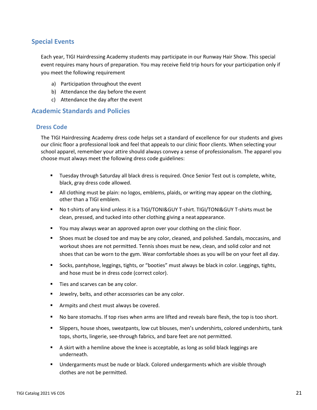## <span id="page-20-0"></span>**Special Events**

Each year, TIGI Hairdressing Academy students may participate in our Runway Hair Show. This special event requires many hours of preparation. You may receive field trip hours for your participation only if you meet the following requirement

- a) Participation throughout the event
- b) Attendance the day before the event
- c) Attendance the day after the event

## <span id="page-20-2"></span><span id="page-20-1"></span>**Academic Standards and Policies**

## **Dress Code**

The TIGI Hairdressing Academy dress code helps set a standard of excellence for our students and gives our clinic floor a professional look and feel that appeals to our clinic floor clients. When selecting your school apparel, remember your attire should always convey a sense of professionalism. The apparel you choose must always meet the following dress code guidelines:

- **■** Tuesday through Saturday all black dress is required. Once Senior Test out is complete, white, black, gray dress code allowed.
- **E** All clothing must be plain: no logos, emblems, plaids, or writing may appear on the clothing, other than a TIGI emblem.
- No t-shirts of any kind unless it is a TIGI/TONI&GUY T-shirt. TIGI/TONI&GUY T-shirts must be clean, pressed, and tucked into other clothing giving a neat appearance.
- You may always wear an approved apron over your clothing on the clinic floor.
- Shoes must be closed toe and may be any color, cleaned, and polished. Sandals, moccasins, and workout shoes are not permitted. Tennis shoes must be new, clean, and solid color and not shoes that can be worn to the gym. Wear comfortable shoes as you will be on your feet all day.
- Socks, pantyhose, leggings, tights, or "booties" must always be black in color. Leggings, tights, and hose must be in dress code (correct color).
- Ties and scarves can be any color.
- Jewelry, belts, and other accessories can be any color.
- Armpits and chest must always be covered.
- No bare stomachs. If top rises when arms are lifted and reveals bare flesh, the top is too short.
- Slippers, house shoes, sweatpants, low cut blouses, men's undershirts, colored undershirts, tank tops, shorts, lingerie, see-through fabrics, and bare feet are not permitted.
- A skirt with a hemline above the knee is acceptable, as long as solid black leggings are underneath.
- Undergarments must be nude or black. Colored undergarments which are visible through clothes are not be permitted.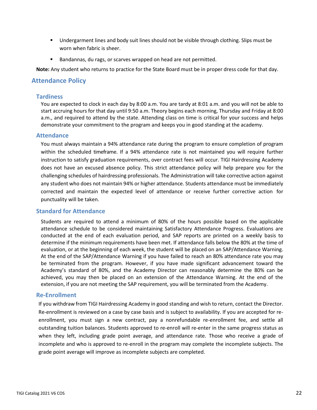- Undergarment lines and body suit lines should not be visible through clothing. Slips must be worn when fabric is sheer.
- Bandannas, du rags, or scarves wrapped on head are not permitted.

**Note:** Any student who returns to practice for the State Board must be in proper dress code for that day.

## <span id="page-21-1"></span><span id="page-21-0"></span>**Attendance Policy**

#### **Tardiness**

You are expected to clock in each day by 8:00 a.m. You are tardy at 8:01 a.m. and you will not be able to start accruing hours for that day until 9:50 a.m. Theory begins each morning, Thursday and Friday at 8:00 a.m., and required to attend by the state. Attending class on time is critical for your success and helps demonstrate your commitment to the program and keeps you in good standing at the academy.

#### <span id="page-21-2"></span>**Attendance**

You must always maintain a 94% attendance rate during the program to ensure completion of program within the scheduled timeframe. If a 94% attendance rate is not maintained you will require further instruction to satisfy graduation requirements, over contract fees will occur. TIGI Hairdressing Academy does not have an excused absence policy. This strict attendance policy will help prepare you for the challenging schedules of hairdressing professionals. The Administration will take corrective action against any student who does not maintain 94% or higher attendance. Students attendance must be immediately corrected and maintain the expected level of attendance or receive further corrective action for punctuality will be taken.

## <span id="page-21-3"></span>**Standard for Attendance**

Students are required to attend a minimum of 80% of the hours possible based on the applicable attendance schedule to be considered maintaining Satisfactory Attendance Progress. Evaluations are conducted at the end of each evaluation period, and SAP reports are printed on a weekly basis to determine if the minimum requirements have been met. If attendance falls below the 80% at the time of evaluation, or at the beginning of each week, the student will be placed on an SAP/Attendance Warning. At the end of the SAP/Attendance Warning if you have failed to reach an 80% attendance rate you may be terminated from the program. However, if you have made significant advancement toward the Academy's standard of 80%, and the Academy Director can reasonably determine the 80% can be achieved, you may then be placed on an extension of the Attendance Warning. At the end of the extension, if you are not meeting the SAP requirement, you will be terminated from the Academy.

#### <span id="page-21-4"></span>**Re-Enrollment**

If you withdraw from TIGI Hairdressing Academy in good standing and wish to return, contact the Director. Re-enrollment is reviewed on a case by case basis and is subject to availability. If you are accepted for reenrollment, you must sign a new contract, pay a nonrefundable re-enrollment fee, and settle all outstanding tuition balances. Students approved to re-enroll will re-enter in the same progress status as when they left, including grade point average, and attendance rate. Those who receive a grade of incomplete and who is approved to re-enroll in the program may complete the incomplete subjects. The grade point average will improve as incomplete subjects are completed.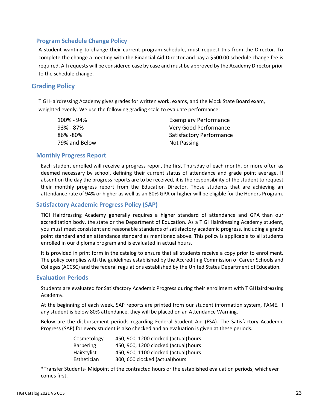## <span id="page-22-0"></span>**Program Schedule Change Policy**

A student wanting to change their current program schedule, must request this from the Director. To complete the change a meeting with the Financial Aid Director and pay a \$500.00 schedule change fee is required. All requests will be considered case by case and must be approved by the Academy Director prior to the schedule change.

## <span id="page-22-1"></span>**Grading Policy**

TIGI Hairdressing Academy gives grades for written work, exams, and the Mock State Board exam, weighted evenly. We use the following grading scale to evaluate performance:

| 100% - 94%    | <b>Exemplary Performance</b> |
|---------------|------------------------------|
| 93% - 87%     | Very Good Performance        |
| 86% -80%      | Satisfactory Performance     |
| 79% and Below | Not Passing                  |

## <span id="page-22-2"></span>**Monthly Progress Report**

Each student enrolled will receive a progress report the first Thursday of each month, or more often as deemed necessary by school, defining their current status of attendance and grade point average. If absent on the day the progress reports are to be received, it is the responsibility of the student to request their monthly progress report from the Education Director. Those students that are achieving an attendance rate of 94% or higher as well as an 80% GPA or higher will be eligible for the Honors Program.

## <span id="page-22-3"></span>**Satisfactory Academic Progress Policy (SAP)**

TIGI Hairdressing Academy generally requires a higher standard of attendance and GPA than our accreditation body, the state or the Department of Education. As a TIGI Hairdressing Academy student, you must meet consistent and reasonable standards of satisfactory academic progress, including a grade point standard and an attendance standard as mentioned above. This policy is applicable to all students enrolled in our diploma program and is evaluated in actual hours.

It is provided in print form in the catalog to ensure that all students receive a copy prior to enrollment. The policy complies with the guidelines established by the Accrediting Commission of Career Schools and Colleges (ACCSC) and the federal regulations established by the United States Department of Education.

## <span id="page-22-4"></span>**Evaluation Periods**

Students are evaluated for Satisfactory Academic Progress during their enrollment with TIGI H Academy.

At the beginning of each week, SAP reports are printed from our student information system, FAME. If any student is below 80% attendance, they will be placed on an Attendance Warning.

Below are the disbursement periods regarding Federal Student Aid (FSA). The Satisfactory Academic Progress (SAP) for every student is also checked and an evaluation is given at these periods.

| Cosmetology      | 450, 900, 1200 clocked (actual) hours |
|------------------|---------------------------------------|
| <b>Barbering</b> | 450, 900, 1200 clocked (actual) hours |
| Hairstylist      | 450, 900, 1100 clocked (actual) hours |
| Esthetician      | 300, 600 clocked (actual)hours        |

\*Transfer Students- Midpoint of the contracted hours or the established evaluation periods, whichever comes first.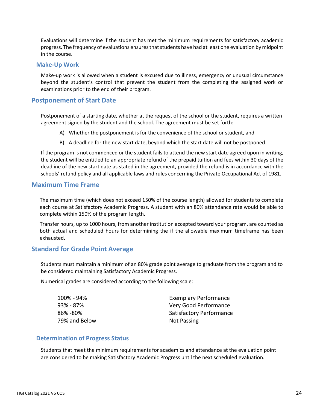Evaluations will determine if the student has met the minimum requirements for satisfactory academic progress. The frequency of evaluations ensures that students have had at least one evaluation by midpoint in the course.

#### <span id="page-23-0"></span>**Make-Up Work**

Make-up work is allowed when a student is excused due to illness, emergency or unusual circumstance beyond the student's control that prevent the student from the completing the assigned work or examinations prior to the end of their program.

## <span id="page-23-1"></span>**Postponement of Start Date**

Postponement of a starting date, whether at the request of the school or the student, requires a written agreement signed by the student and the school. The agreement must be set forth:

- A) Whether the postponement is for the convenience of the school or student, and
- B) A deadline for the new start date, beyond which the start date will not be postponed.

If the program is not commenced or the student fails to attend the new start date agreed upon in writing, the student will be entitled to an appropriate refund of the prepaid tuition and fees within 30 days of the deadline of the new start date as stated in the agreement, provided the refund is in accordance with the schools' refund policy and all applicable laws and rules concerning the Private Occupational Act of 1981.

## <span id="page-23-2"></span>**Maximum Time Frame**

The maximum time (which does not exceed 150% of the course length) allowed for students to complete each course at Satisfactory Academic Progress. A student with an 80% attendance rate would be able to complete within 150% of the program length.

Transfer hours, up to 1000 hours, from another institution accepted toward your program, are counted as both actual and scheduled hours for determining the if the allowable maximum timeframe has been exhausted.

## <span id="page-23-3"></span>**Standard for Grade Point Average**

Students must maintain a minimum of an 80% grade point average to graduate from the program and to be considered maintaining Satisfactory Academic Progress.

Numerical grades are considered according to the following scale:

| 100% - 94%    | <b>Exemplary Performance</b> |
|---------------|------------------------------|
| 93% - 87%     | Very Good Performance        |
| 86% -80%      | Satisfactory Performance     |
| 79% and Below | Not Passing                  |

#### <span id="page-23-4"></span>**Determination of Progress Status**

Students that meet the minimum requirements for academics and attendance at the evaluation point are considered to be making Satisfactory Academic Progress until the next scheduled evaluation.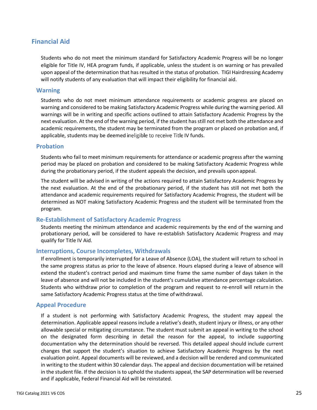## <span id="page-24-0"></span>**Financial Aid**

Students who do not meet the minimum standard for Satisfactory Academic Progress will be no longer eligible for Title IV, HEA program funds, if applicable, unless the student is on warning or has prevailed upon appeal of the determination that has resulted in the status of probation. TIGI Hairdressing Academy will notify students of any evaluation that will impact their eligibility for financial aid.

#### <span id="page-24-1"></span>**Warning**

Students who do not meet minimum attendance requirements or academic progress are placed on warning and considered to be making Satisfactory Academic Progress while during the warning period. All warnings will be in writing and specific actions outlined to attain Satisfactory Academic Progress by the next evaluation. At the end of the warning period, if the student has still not met both the attendance and academic requirements, the student may be terminated from the program or placed on probation and, if applicable, students may be deemed ineligible to receive Title IV funds.

## <span id="page-24-2"></span>**Probation**

Students who fail to meet minimum requirements for attendance or academic progress after the warning period may be placed on probation and considered to be making Satisfactory Academic Progress while during the probationary period, if the student appeals the decision, and prevails uponappeal.

The student will be advised in writing of the actions required to attain Satisfactory Academic Progress by the next evaluation. At the end of the probationary period, if the student has still not met both the attendance and academic requirements required for Satisfactory Academic Progress, the student will be determined as NOT making Satisfactory Academic Progress and the student will be terminated from the program.

## <span id="page-24-3"></span>**Re-Establishment of Satisfactory Academic Progress**

Students meeting the minimum attendance and academic requirements by the end of the warning and probationary period, will be considered to have re-establish Satisfactory Academic Progress and may qualify for Title IV Aid.

## <span id="page-24-4"></span>**Interruptions, Course Incompletes, Withdrawals**

If enrollment is temporarily interrupted for a Leave of Absence (LOA), the student will return to school in the same progress status as prior to the leave of absence. Hours elapsed during a leave of absence will extend the student's contract period and maximum time frame the same number of days taken in the leave of absence and will not be included in the student's cumulative attendance percentage calculation. Students who withdraw prior to completion of the program and request to re-enroll will return in the same Satisfactory Academic Progress status at the time ofwithdrawal.

## <span id="page-24-5"></span>**Appeal Procedure**

If a student is not performing with Satisfactory Academic Progress, the student may appeal the determination. Applicable appeal reasons include a relative's death, student injury or illness, or any other allowable special or mitigating circumstance. The student must submit an appeal in writing to the school on the designated form describing in detail the reason for the appeal, to include supporting documentation why the determination should be reversed. This detailed appeal should include current changes that support the student's situation to achieve Satisfactory Academic Progress by the next evaluation point. Appeal documents will be reviewed, and a decision will be rendered and communicated in writing to the student within 30 calendar days. The appeal and decision documentation will be retained in the student file. If the decision is to uphold the students appeal, the SAP determination will be reversed and if applicable, Federal Financial Aid will be reinstated.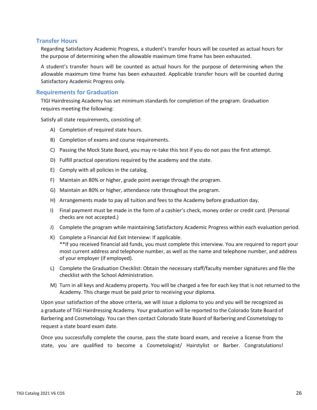## <span id="page-25-0"></span>**Transfer Hours**

Regarding Satisfactory Academic Progress, a student's transfer hours will be counted as actual hours for the purpose of determining when the allowable maximum time frame has been exhausted.

A student's transfer hours will be counted as actual hours for the purpose of determining when the allowable maximum time frame has been exhausted. Applicable transfer hours will be counted during Satisfactory Academic Progress only.

## <span id="page-25-1"></span>**Requirements for Graduation**

TIGI Hairdressing Academy has set minimum standards for completion of the program. Graduation requires meeting the following:

Satisfy all state requirements, consisting of:

- A) Completion of required state hours.
- B) Completion of exams and course requirements.
- C) Passing the Mock State Board, you may re-take this test if you do not pass the first attempt.
- D) Fulfill practical operations required by the academy and the state.
- E) Comply with all policies in the catalog.
- F) Maintain an 80% or higher, grade point average through the program.
- G) Maintain an 80% or higher, attendance rate throughout the program.
- H) Arrangements made to pay all tuition and fees to the Academy before graduation day.
- I) Final payment must be made in the form of a cashier's check, money order or credit card. (Personal checks are not accepted.)
- J) Complete the program while maintaining Satisfactory Academic Progress within each evaluation period.
- K) Complete a Financial Aid Exit Interview: If applicable. \*\*If you received financial aid funds, you must complete this interview. You are required to report your most current address and telephone number, as well as the name and telephone number, and address of your employer (if employed).
- L) Complete the Graduation Checklist: Obtain the necessary staff/faculty member signatures and file the checklist with the School Administration.
- M) Turn in all keys and Academy property. You will be charged a fee for each key that is not returned to the Academy. This charge must be paid prior to receiving your diploma.

Upon your satisfaction of the above criteria, we will issue a diploma to you and you will be recognized as a graduate of TIGI Hairdressing Academy. Your graduation will be reported to the Colorado State Board of Barbering and Cosmetology. You can then contact Colorado State Board of Barbering and Cosmetology to request a state board exam date.

Once you successfully complete the course, pass the state board exam, and receive a license from the state, you are qualified to become a Cosmetologist/ Hairstylist or Barber. Congratulations!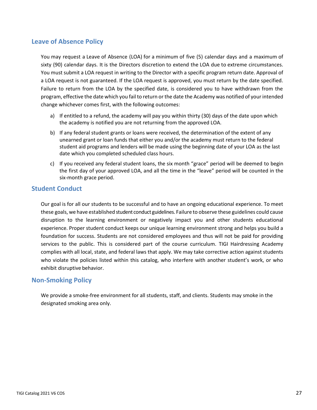## <span id="page-26-0"></span>**Leave of Absence Policy**

You may request a Leave of Absence (LOA) for a minimum of five (5) calendar days and a maximum of sixty (90) calendar days. It is the Directors discretion to extend the LOA due to extreme circumstances. You must submit a LOA request in writing to the Director with a specific program return date. Approval of a LOA request is not guaranteed. If the LOA request is approved, you must return by the date specified. Failure to return from the LOA by the specified date, is considered you to have withdrawn from the program, effective the date which you fail to return or the date the Academy was notified of your intended change whichever comes first, with the following outcomes:

- a) If entitled to a refund, the academy will pay you within thirty (30) days of the date upon which the academy is notified you are not returning from the approved LOA.
- b) If any federal student grants or loans were received, the determination of the extent of any unearned grant or loan funds that either you and/or the academy must return to the federal student aid programs and lenders will be made using the beginning date of your LOA as the last date which you completed scheduled class hours.
- c) If you received any federal student loans, the six month "grace" period will be deemed to begin the first day of your approved LOA, and all the time in the "leave" period will be counted in the six-month grace period.

## <span id="page-26-1"></span>**Student Conduct**

Our goal is for all our students to be successful and to have an ongoing educational experience. To meet these goals, we have established student conduct guidelines. Failure to observe these guidelines could cause disruption to the learning environment or negatively impact you and other students educational experience. Proper student conduct keeps our unique learning environment strong and helps you build a foundation for success. Students are not considered employees and thus will not be paid for providing services to the public. This is considered part of the course curriculum. TIGI Hairdressing Academy complies with all local, state, and federal laws that apply. We may take corrective action against students who violate the policies listed within this catalog, who interfere with another student's work, or who exhibit disruptive behavior.

## <span id="page-26-2"></span>**Non-Smoking Policy**

We provide a smoke-free environment for all students, staff, and clients. Students may smoke in the designated smoking area only.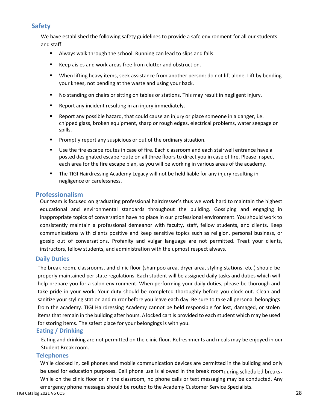## <span id="page-27-0"></span>**Safety**

We have established the following safety guidelines to provide a safe environment for all our students and staff:

- Always walk through the school. Running can lead to slips and falls.
- Keep aisles and work areas free from clutter and obstruction.
- When lifting heavy items, seek assistance from another person: do not lift alone. Lift by bending your knees, not bending at the waste and using your back.
- No standing on chairs or sitting on tables or stations. This may result in negligent injury.
- Report any incident resulting in an injury immediately.
- Report any possible hazard, that could cause an injury or place someone in a danger, i.e. chipped glass, broken equipment, sharp or rough edges, electrical problems, water seepage or spills.
- Promptly report any suspicious or out of the ordinary situation.
- Use the fire escape routes in case of fire. Each classroom and each stairwell entrance have a posted designated escape route on all three floors to direct you in case of fire. Please inspect each area for the fire escape plan, as you will be working in various areas of the academy.
- **The TIGI Hairdressing Academy Legacy will not be held liable for any injury resulting in** negligence or carelessness.

## <span id="page-27-1"></span>**Professionalism**

Our team is focused on graduating professional hairdresser's thus we work hard to maintain the highest educational and environmental standards throughout the building. Gossiping and engaging in inappropriate topics of conversation have no place in our professional environment. You should work to consistently maintain a professional demeanor with faculty, staff, fellow students, and clients. Keep communications with clients positive and keep sensitive topics such as religion, personal business, or gossip out of conversations. Profanity and vulgar language are not permitted. Treat your clients, instructors, fellow students, and administration with the upmost respect always.

## <span id="page-27-2"></span>**Daily Duties**

The break room, classrooms, and clinic floor (shampoo area, dryer area, styling stations, etc.) should be properly maintained per state regulations. Each student will be assigned daily tasks and duties which will help prepare you for a salon environment. When performing your daily duties, please be thorough and take pride in your work. Your duty should be completed thoroughly before you clock out. Clean and sanitize your styling station and mirror before you leave each day. Be sure to take all personal belongings from the academy. TIGI Hairdressing Academy cannot be held responsible for lost, damaged, or stolen items that remain in the building after hours. A locked cart is provided to each student which may be used for storing items. The safest place for your belongings is with you.

## <span id="page-27-3"></span>**Eating / Drinking**

Eating and drinking are not permitted on the clinic floor. Refreshments and meals may be enjoyed in our Student Break room.

## <span id="page-27-4"></span>**Telephones**

While clocked in, cell phones and mobile communication devices are permitted in the building and only be used for education purposes. Cell phone use is allowed in the break room during scheduled breaks. While on the clinic floor or in the classroom, no phone calls or text messaging may be conducted. Any emergency phone messages should be routed to the Academy Customer Service Specialists.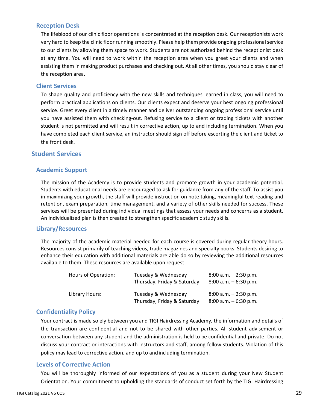## <span id="page-28-0"></span>**Reception Desk**

The lifeblood of our clinic floor operations is concentrated at the reception desk. Our receptionists work very hard to keep the clinic floor running smoothly. Please help them provide ongoing professional service to our clients by allowing them space to work. Students are not authorized behind the receptionist desk at any time. You will need to work within the reception area when you greet your clients and when assisting them in making product purchases and checking out. At all other times, you should stay clear of the reception area.

## <span id="page-28-1"></span>**Client Services**

To shape quality and proficiency with the new skills and techniques learned in class, you will need to perform practical applications on clients. Our clients expect and deserve your best ongoing professional service. Greet every client in a timely manner and deliver outstanding ongoing professional service until you have assisted them with checking-out. Refusing service to a client or trading tickets with another student is not permitted and will result in corrective action, up to and including termination. When you have completed each client service, an instructor should sign off before escorting the client and ticket to the front desk.

## <span id="page-28-3"></span><span id="page-28-2"></span>**Student Services**

## **Academic Support**

The mission of the Academy is to provide students and promote growth in your academic potential. Students with educational needs are encouraged to ask for guidance from any of the staff. To assist you in maximizing your growth, the staff will provide instruction on note taking, meaningful text reading and retention, exam preparation, time management, and a variety of other skills needed for success. These services will be presented during individual meetings that assess your needs and concerns as a student. An individualized plan is then created to strengthen specific academic study skills.

## <span id="page-28-4"></span>**Library/Resources**

The majority of the academic material needed for each course is covered during regular theory hours. Resources consist primarily of teaching videos, trade magazines and specialty books. Students desiring to enhance their education with additional materials are able do so by reviewing the additional resources available to them. These resources are available upon request.

| Hours of Operation: | Tuesday & Wednesday<br>Thursday, Friday & Saturday | $8:00$ a.m. $-2:30$ p.m.<br>$8:00$ a.m. $-6:30$ p.m. |
|---------------------|----------------------------------------------------|------------------------------------------------------|
| Library Hours:      | Tuesday & Wednesday<br>Thursday, Friday & Saturday | $8:00$ a.m. $-2:30$ p.m.<br>$8:00$ a.m. $-6:30$ p.m. |

## <span id="page-28-5"></span>**Confidentiality Policy**

Your contract is made solely between you and TIGI Hairdressing Academy, the information and details of the transaction are confidential and not to be shared with other parties. All student advisement or conversation between any student and the administration is held to be confidential and private. Do not discuss your contract or interactions with instructors and staff, among fellow students. Violation of this policy may lead to corrective action, and up to andincluding termination.

## <span id="page-28-6"></span>**Levels of Corrective Action**

You will be thoroughly informed of our expectations of you as a student during your New Student Orientation. Your commitment to upholding the standards of conduct set forth by the TIGI Hairdressing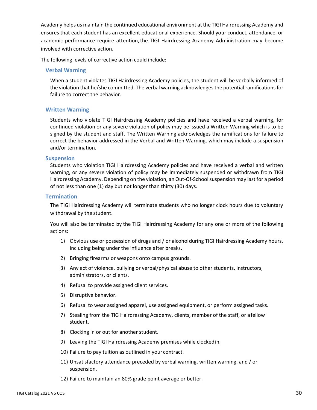Academy helps us maintain the continued educational environment atthe TIGI Hairdressing Academy and ensures that each student has an excellent educational experience. Should your conduct, attendance, or academic performance require attention, the TIGI Hairdressing Academy Administration may become involved with corrective action.

The following levels of corrective action could include:

#### **Verbal Warning**

When a student violates TIGI Hairdressing Academy policies, the student will be verbally informed of the violation that he/she committed. The verbal warning acknowledges the potential ramificationsfor failure to correct the behavior.

## **Written Warning**

Students who violate TIGI Hairdressing Academy policies and have received a verbal warning, for continued violation or any severe violation of policy may be issued a Written Warning which is to be signed by the student and staff. The Written Warning acknowledges the ramifications for failure to correct the behavior addressed in the Verbal and Written Warning, which may include a suspension and/or termination.

#### **Suspension**

Students who violation TIGI Hairdressing Academy policies and have received a verbal and written warning, or any severe violation of policy may be immediately suspended or withdrawn from TIGI Hairdressing Academy. Depending on the violation, an Out-Of-School suspension may last for a period of not less than one (1) day but not longer than thirty (30) days.

#### **Termination**

The TIGI Hairdressing Academy will terminate students who no longer clock hours due to voluntary withdrawal by the student.

You will also be terminated by the TIGI Hairdressing Academy for any one or more of the following actions:

- 1) Obvious use or possession of drugs and / or alcoholduring TIGI Hairdressing Academy hours, including being under the influence after breaks.
- 2) Bringing firearms or weapons onto campus grounds.
- 3) Any act of violence, bullying or verbal/physical abuse to other students, instructors, administrators, or clients.
- 4) Refusal to provide assigned client services.
- 5) Disruptive behavior.
- 6) Refusal to wear assigned apparel, use assigned equipment, or perform assigned tasks.
- 7) Stealing from the TIG Hairdressing Academy, clients, member of the staff, or afellow student.
- 8) Clocking in or out for another student.
- 9) Leaving the TIGI Hairdressing Academy premises while clockedin.
- 10) Failure to pay tuition as outlined in your contract.
- 11) Unsatisfactory attendance preceded by verbal warning, written warning, and / or suspension.
- 12) Failure to maintain an 80% grade point average or better.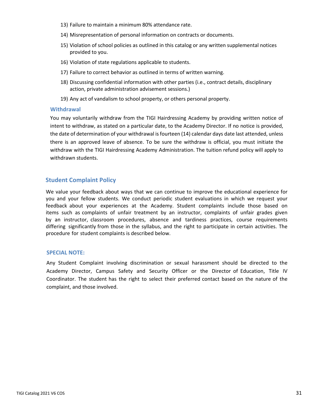- 13) Failure to maintain a minimum 80% attendance rate.
- 14) Misrepresentation of personal information on contracts or documents.
- 15) Violation of school policies as outlined in this catalog or any written supplemental notices provided to you.
- 16) Violation of state regulations applicable to students.
- 17) Failure to correct behavior as outlined in terms of written warning.
- 18) Discussing confidential information with other parties (i.e., contract details, disciplinary action, private administration advisement sessions.)
- 19) Any act of vandalism to school property, or others personal property.

#### **Withdrawal**

You may voluntarily withdraw from the TIGI Hairdressing Academy by providing written notice of intent to withdraw, as stated on a particular date, to the Academy Director. If no notice is provided, the date of determination of your withdrawal is fourteen (14) calendar days date last attended, unless there is an approved leave of absence. To be sure the withdraw is official, you must initiate the withdraw with the TIGI Hairdressing Academy Administration. The tuition refund policy will apply to withdrawn students.

## <span id="page-30-0"></span>**Student Complaint Policy**

We value your feedback about ways that we can continue to improve the educational experience for you and your fellow students. We conduct periodic student evaluations in which we request your feedback about your experiences at the Academy. Student complaints include those based on items such as complaints of unfair treatment by an instructor, complaints of unfair grades given by an instructor, classroom procedures, absence and tardiness practices, course requirements differing significantly from those in the syllabus, and the right to participate in certain activities. The procedure for student complaints is described below.

#### **SPECIAL NOTE:**

Any Student Complaint involving discrimination or sexual harassment should be directed to the Academy Director, Campus Safety and Security Officer or the Director of Education, Title IV Coordinator. The student has the right to select their preferred contact based on the nature of the complaint, and those involved.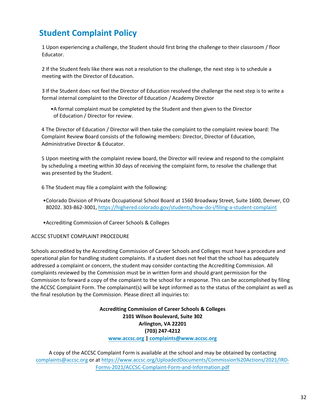## **Student Complaint Policy**

1 Upon experiencing a challenge, the Student should first bring the challenge to their classroom / floor Educator.

2 If the Student feels like there was not a resolution to the challenge, the next step is to schedule a meeting with the Director of Education.

3 If the Student does not feel the Director of Education resolved the challenge the next step is to write a formal internal complaint to the Director of Education / Academy Director

•A formal complaint must be completed by the Student and then given to the Director of Education / Director for review.

4 The Director of Education / Director will then take the complaint to the complaint review board: The Complaint Review Board consists of the following members: Director, Director of Education, Administrative Director & Educator.

5 Upon meeting with the complaint review board, the Director will review and respond to the complaint by scheduling a meeting within 30 days of receiving the complaint form, to resolve the challenge that was presented by the Student.

6 The Student may file a complaint with the following:

- •Colorado Division of Private Occupational School Board at 1560 Broadway Street, Suite 1600, Denver, CO 80202. 303-862-3001, https:/[/highered.colorado.gov/students/how](http://www.highered.colorado.gov/dpos)-do-i/filing-a-student-complaint
- •Accrediting Commission of Career Schools & Colleges

ACCSC STUDENT COMPLAINT PROCEDURE

Schools accredited by the Accrediting Commission of Career Schools and Colleges must have a procedure and operational plan for handling student complaints. If a student does not feel that the school has adequately addressed a complaint or concern, the student may consider contacting the Accrediting Commission. All complaints reviewed by the Commission must be in written form and should grant permission for the Commission to forward a copy of the complaint to the school for a response. This can be accomplished by filing the ACCSC Complaint Form. The complainant(s) will be kept informed as to the status of the complaint as well as the final resolution by the Commission. Please direct all inquiries to:

> **Accrediting Commission of Career Schools & Colleges 2101 Wilson Boulevard, Suite 302 Arlington, VA 22201 (703) 247-4212 [www.accsc.org | c](http://www.accsc.org)[omplaints@www.accsc.org](mailto:complaints@www.accsc.org)**

A copy of the ACCSC Complaint Form is available at the school and may be obtained by contacting [complaints@accsc.org](mailto:complaints@accsc.org) or at https://www[.accsc.org/UploadedDocuments/Commission%20Actions/20](https://www.accsc.org/Student-Corner/Complaints.aspx)21/IRD-Forms-2021/ACCSC-Complaint-Form-and-Information.pdf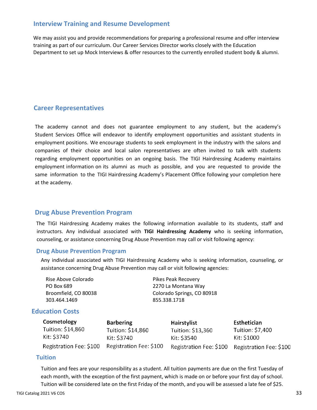## **Interview Training and Resume Development**

We may assist you and provide recommendations for preparing a professional resume and offer interview training as part of our curriculum. Our Career Services Director works closely with the Education Department to set up Mock Interviews & offer resources to the currently enrolled student body & alumni.

## <span id="page-32-0"></span>**Career Representatives**

<span id="page-32-1"></span>The academy cannot and does not guarantee employment to any student, but the academy's Student Services Office will endeavor to identify employment opportunities and assistant students in employment positions. We encourage students to seek employment in the industry with the salons and companies of their choice and local salon representatives are often invited to talk with students regarding employment opportunities on an ongoing basis. The TIGI Hairdressing Academy maintains employment information on its alumni as much as possible, and you are requested to provide the same information to the TIGI Hairdressing Academy's Placement Office following your completion here at the academy.

## <span id="page-32-2"></span>**Drug Abuse Prevention Program**

The TIGI Hairdressing Academy makes the following information available to its students, staff and instructors. Any individual associated with **TIGI Hairdressing Academy** who is seeking information, counseling, or assistance concerning Drug Abuse Prevention may call or visit following agency:

## <span id="page-32-3"></span>**Drug Abuse Prevention Program**

Any individual associated with TIGI Hairdressing Academy who is seeking information, counseling, or assistance concerning Drug Abuse Prevention may call or visit following agencies:

| Pikes Peak Recovery        |
|----------------------------|
| 2270 La Montana Way        |
| Colorado Springs, CO 80918 |
| 855.338.1718               |
|                            |

## <span id="page-32-4"></span>**Education Costs**

| Cosmetology             | <b>Barbering</b>        | Hairstylist             | Esthetician             |
|-------------------------|-------------------------|-------------------------|-------------------------|
| Tuition: \$14,860       | Tuition: \$14,860       | Tuition: \$13,360       | Tuition: \$7,400        |
| Kit: \$3740             | Kit: \$3740             | Kit: \$3540             | Kit: \$1000             |
| Registration Fee: \$100 | Registration Fee: \$100 | Registration Fee: \$100 | Registration Fee: \$100 |

## <span id="page-32-5"></span>**Tuition**

Tuition and fees are your responsibility as a student. All tuition payments are due on the first Tuesday of each month, with the exception of the first payment, which is made on or before your first day of school. Tuition will be considered late on the first Friday of the month, and you will be assessed a late fee of \$25.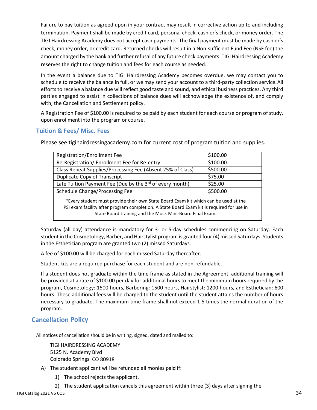Failure to pay tuition as agreed upon in your contract may result in corrective action up to and including termination. Payment shall be made by credit card, personal check, cashier's check, or money order. The TIGI Hairdressing Academy does not accept cash payments. The final payment must be made by cashier's check, money order, or credit card. Returned checks will result in a Non-sufficient Fund Fee (NSF fee) the amount charged by the bank and further refusal of any future check payments. TIGI Hairdressing Academy reserves the right to change tuition and fees for each course as needed.

In the event a balance due to TIGI Hairdressing Academy becomes overdue, we may contact you to schedule to receive the balance in full, or we may send your account to a third-party collection service.All efforts to receive a balance due will reflect good taste and sound, and ethical business practices. Any third parties engaged to assist in collections of balance dues will acknowledge the existence of, and comply with, the Cancellation and Settlement policy.

A Registration Fee of \$100.00 is required to be paid by each student for each course or program of study, upon enrollment into the program or course.

## <span id="page-33-0"></span>**Tuition & Fees/ Misc. Fees**

Please see tigihairdressingacademy.com for current cost of program tuition and supplies.

| <b>Registration/Enrollment Fee</b>                                                                                                                                                                                                           | \$100.00 |
|----------------------------------------------------------------------------------------------------------------------------------------------------------------------------------------------------------------------------------------------|----------|
| Re-Registration/ Enrollment Fee for Re-entry                                                                                                                                                                                                 | \$100.00 |
| Class Repeat Supplies/Processing Fee (Absent 25% of Class)                                                                                                                                                                                   | \$500.00 |
| Duplicate Copy of Transcript                                                                                                                                                                                                                 | \$75.00  |
| Late Tuition Payment Fee (Due by the 3rd of every month)                                                                                                                                                                                     | \$25.00  |
| \$500.00<br>Schedule Change/Processing Fee                                                                                                                                                                                                   |          |
| *Every student must provide their own State Board Exam kit which can be used at the<br>PSI exam facility after program completion. A State Board Exam kit is required for use in<br>State Board training and the Mock Mini-Board Final Exam. |          |

Saturday (all day) attendance is mandatory for 3- or 5-day schedules commencing on Saturday. Each student in the Cosmetology, Barber, and Hairstylist program is granted four (4) missed Saturdays. Students in the Esthetician program are granted two (2) missed Saturdays.

A fee of \$100.00 will be charged for each missed Saturday thereafter.

Student kits are a required purchase for each student and are non-refundable.

If a student does not graduate within the time frame as stated in the Agreement, additional training will be provided at a rate of \$100.00 per day for additional hours to meet the minimum hours required by the program, Cosmetology: 1500 hours, Barbering: 1500 hours, Hairstylist: 1200 hours, and Esthetician: 600 hours. These additional fees will be charged to the student until the student attains the number of hours necessary to graduate. The maximum time frame shall not exceed 1.5 times the normal duration of the program.

## <span id="page-33-1"></span>**Cancellation Policy**

All notices of cancellation should be in writing, signed, dated and mailed to:

TIGI HAIRDRESSING ACADEMY 5125 N. Academy Blvd Colorado Springs, CO 80918

- A) The student applicant will be refunded all monies paid if:
	- 1) The school rejects the applicant.
	- 2) The student application cancels this agreement within three (3) days after signing the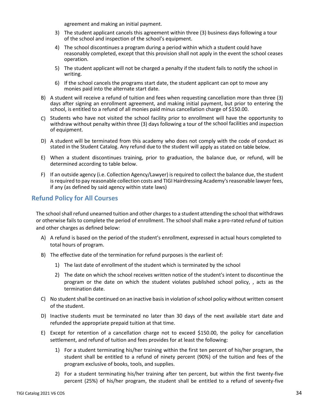agreement and making an initial payment.

- 3) The student applicant cancels this agreement within three (3) business days following a tour of the school and inspection of the school's equipment.
- 4) The school discontinues a program during a period within which a student could have reasonably completed, except that this provision shall not apply in the event the school ceases operation.
- 5) The student applicant will not be charged a penalty if the student fails to notify the school in writing.
- 6) If the school cancels the programs start date, the student applicant can opt to move any monies paid into the alternate start date.
- B) A student will receive a refund of tuition and fees when requesting cancellation more than three (3) days after signing an enrollment agreement, and making initial payment, but prior to entering the school, is entitled to a refund of all monies paid minus cancellation charge of \$150.00.
- C) Students who have not visited the school facility prior to enrollment will have the opportunity to withdraw without penalty within three (3) days following a tour of the school facilities and inspection of equipment.
- D) A student will be terminated from this academy who does not comply with the code of conduct as stated in the Student Catalog. Any refund due to the student will apply as stated on table below.
- E) When a student discontinues training, prior to graduation, the balance due, or refund, will be determined according to table below.
- F) If an outside agency (i.e. Collection Agency/Lawyer) is required to collect the balance due, the student is required to pay reasonable collection costs and TIGI Hairdressing Academy's reasonable lawyer fees, if any (as defined by said agency within state laws)

## <span id="page-34-0"></span>**Refund Policy for All Courses**

The school shall refund unearned tuition and other charges to a student attending the school that withdraws or otherwise fails to complete the period of enrollment. The school shall make a pro-rated refund of tuition and other charges as defined below:

- A) A refund is based on the period of the student's enrollment, expressed in actual hours completed to total hours of program.
- B) The effective date of the termination for refund purposes is the earliest of:
	- 1) The last date of enrollment of the student which is terminated by the school
	- 2) The date on which the school receives written notice of the student's intent to discontinue the program or the date on which the student violates published school policy, , acts as the termination date.
- C) No student shall be continued on an inactive basis in violation of school policy without written consent of the student.
- D) Inactive students must be terminated no later than 30 days of the next available start date and refunded the appropriate prepaid tuition at that time.
- E) Except for retention of a cancellation charge not to exceed \$150.00, the policy for cancellation settlement, and refund of tuition and fees provides for at least the following:
	- 1) For a student terminating his/her training within the first ten percent of his/her program, the student shall be entitled to a refund of ninety percent (90%) of the tuition and fees of the program exclusive of books, tools, and supplies.
	- 2) For a student terminating his/her training after ten percent, but within the first twenty-five percent (25%) of his/her program, the student shall be entitled to a refund of seventy-five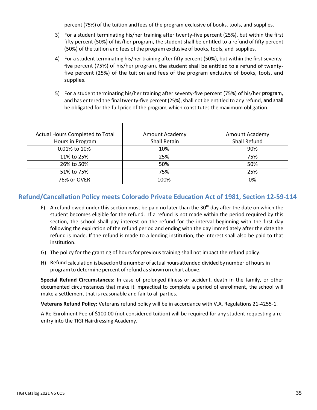percent (75%) of the tuition and fees of the program exclusive of books, tools, and supplies.

- 3) For a student terminating his/her training after twenty-five percent (25%), but within the first fifty percent (50%) of his/her program, the student shall be entitled to a refund of fifty percent (50%) of the tuition and fees ofthe program exclusive of books, tools, and supplies.
- 4) For a student terminating his/her training after fifty percent (50%), but within the first seventyfive percent (75%) of his/her program, the student shall be entitled to a refund of twentyfive percent (25%) of the tuition and fees of the program exclusive of books, tools, and supplies.
- 5) For a student terminating his/her training after seventy-five percent (75%) of his/her program, and has entered the final twenty-five percent(25%), shall not be entitled to any refund, and shall be obligated for the full price of the program, which constitutes the maximum obligation.

| Actual Hours Completed to Total | Amount Academy      | Amount Academy      |
|---------------------------------|---------------------|---------------------|
| Hours in Program                | <b>Shall Retain</b> | <b>Shall Refund</b> |
| 0.01% to 10%                    | 10%                 | 90%                 |
| 11% to 25%                      | 25%                 | 75%                 |
| 26% to 50%                      | 50%                 | 50%                 |
| 51% to 75%                      | 75%                 | 25%                 |
| 76% or OVER                     | 100%                | 0%                  |

## **Refund/Cancellation Policy meets Colorado Private Education Act of 1981, Section 12-59-114**

- F) A refund owed under this section must be paid no later than the  $30<sup>th</sup>$  day after the date on which the student becomes eligible for the refund. If a refund is not made within the period required by this section, the school shall pay interest on the refund for the interval beginning with the first day following the expiration of the refund period and ending with the day immediately after the date the refund is made. If the refund is made to a lending institution, the interest shall also be paid to that institution.
- G) The policy for the granting of hours for previous training shall not impact the refund policy.
- H) Refundcalculation isbasedonthenumber ofactual hoursattended dividedby number of hours in program to determine percent of refund as shown on chart above.

**Special Refund Circumstances:** In case of prolonged illness or accident, death in the family, or other documented circumstances that make it impractical to complete a period of enrollment, the school will make a settlement that is reasonable and fair to all parties.

**Veterans Refund Policy:** Veterans refund policy will be in accordance with V.A. Regulations 21-4255-1.

<span id="page-35-0"></span>A Re-Enrolment Fee of \$100.00 (not considered tuition) will be required for any student requesting a reentry into the TIGI Hairdressing Academy.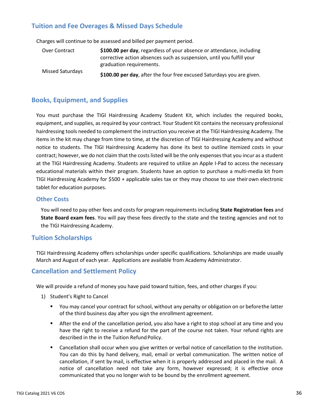## **Tuition and Fee Overages & Missed Days Schedule**

Charges will continue to be assessed and billed per payment period.

| Over Contract    | \$100.00 per day, regardless of your absence or attendance, including  |
|------------------|------------------------------------------------------------------------|
|                  | corrective action absences such as suspension, until you fulfill your  |
|                  | graduation requirements.                                               |
| Missed Saturdays | \$100.00 per day, after the four free excused Saturdays you are given. |

## **Books, Equipment, and Supplies**

You must purchase the TIGI Hairdressing Academy Student Kit, which includes the required books, equipment, and supplies, as required by your contract. Your Student Kit contains the necessary professional hairdressing tools needed to complement the instruction you receive at the TIGI Hairdressing Academy. The items in the kit may change from time to time, at the discretion of TIGI Hairdressing Academy and without notice to students. The TIGI Hairdressing Academy has done its best to outline itemized costs in your contract; however, we do not claim that the costs listed will be the only expenses that you incur as a student at the TIGI Hairdressing Academy. Students are required to utilize an Apple I-Pad to access the necessary educational materials within their program. Students have an option to purchase a multi-media kit from TIGI Hairdressing Academy for \$500 + applicable sales tax or they may choose to use theirown electronic tablet for education purposes.

## **Other Costs**

You will need to pay other fees and costs for program requirements including **State Registration fees** and **State Board exam fees**. You will pay these fees directly to the state and the testing agencies and not to the TIGI Hairdressing Academy.

## **Tuition Scholarships**

TIGI Hairdressing Academy offers scholarships under specific qualifications. Scholarships are made usually March and August of each year. Applications are available from Academy Administrator.

## **Cancellation and Settlement Policy**

We will provide a refund of money you have paid toward tuition, fees, and other charges if you:

- 1) Student's Right to Cancel
	- You may cancel your contract for school, without any penalty or obligation on or before the latter of the third business day after you sign the enrollment agreement.
	- After the end of the cancellation period, you also have a right to stop school at any time and you have the right to receive a refund for the part of the course not taken. Your refund rights are described in the in the Tuition Refund Policy.
	- Cancellation shall occur when you give written or verbal notice of cancellation to the institution. You can do this by hand delivery, mail, email or verbal communication. The written notice of cancellation, if sent by mail, is effective when it is properly addressed and placed in the mail. A notice of cancellation need not take any form, however expressed; it is effective once communicated that you no longer wish to be bound by the enrollment agreement.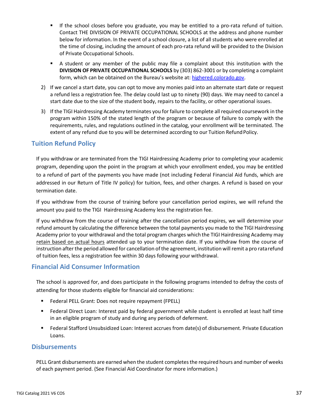- If the school closes before you graduate, you may be entitled to a pro-rata refund of tuition. Contact THE DIVISION OF PRIVATE OCCUPATIONAL SCHOOLS at the address and phone number below for information. In the event of a school closure, a list of all students who were enrolled at the time of closing, including the amount of each pro-rata refund will be provided to the Division of Private Occupational Schools.
- A student or any member of the public may file a complaint about this institution with the **DIVISION OF PRIVATE OCCUPATIONAL SCHOOLS** by (303) 862-3001 or by completing a complaint form, which can be obtained on the Bureau's website at: highered.colorado.gov.
- 2) If we cancel a start date, you can opt to move any monies paid into an alternate start date or request a refund less a registration fee. The delay could last up to ninety (90) days. We may need to cancel a start date due to the size of the student body, repairs to the facility, or other operational issues.
- 3) If the TIGI Hairdressing Academy terminates you for failure to complete all required coursework in the program within 150% of the stated length of the program or because of failure to comply with the requirements, rules, and regulations outlined in the catalog, your enrollment will be terminated. The extent of any refund due to you will be determined according to our Tuition Refund Policy.

## <span id="page-37-0"></span>**Tuition Refund Policy**

If you withdraw or are terminated from the TIGI Hairdressing Academy prior to completing your academic program, depending upon the point in the program at which your enrollment ended, you may be entitled to a refund of part of the payments you have made (not including Federal Financial Aid funds, which are addressed in our Return of Title IV policy) for tuition, fees, and other charges. A refund is based on your termination date.

If you withdraw from the course of training before your cancellation period expires, we will refund the amount you paid to the TIGI Hairdressing Academy less the registration fee.

If you withdraw from the course of training after the cancellation period expires, we will determine your refund amount by calculating the difference between the total payments you made to the TIGI Hairdressing Academy prior to your withdrawal and the total program charges which the TIGI Hairdressing Academy may retain based on actual hours attended up to your termination date. If you withdraw from the course of instruction after the period allowed for cancellation of the agreement, institution will remit a pro ratarefund of tuition fees, less a registration fee within 30 days following your withdrawal.

## <span id="page-37-1"></span>**Financial Aid Consumer Information**

The school is approved for, and does participate in the following programs intended to defray the costs of attending for those students eligible for financial aid considerations:

- Federal PELL Grant: Does not require repayment (FPELL)
- Federal Direct Loan: Interest paid by federal government while student is enrolled at least half time in an eligible program of study and during any periods of deferment.
- Federal Stafford Unsubsidized Loan: Interest accrues from date(s) of disbursement. Private Education Loans.

## <span id="page-37-2"></span>**Disbursements**

PELL Grant disbursements are earned when the student completes the required hours and number of weeks of each payment period. (See Financial Aid Coordinator for more information.)